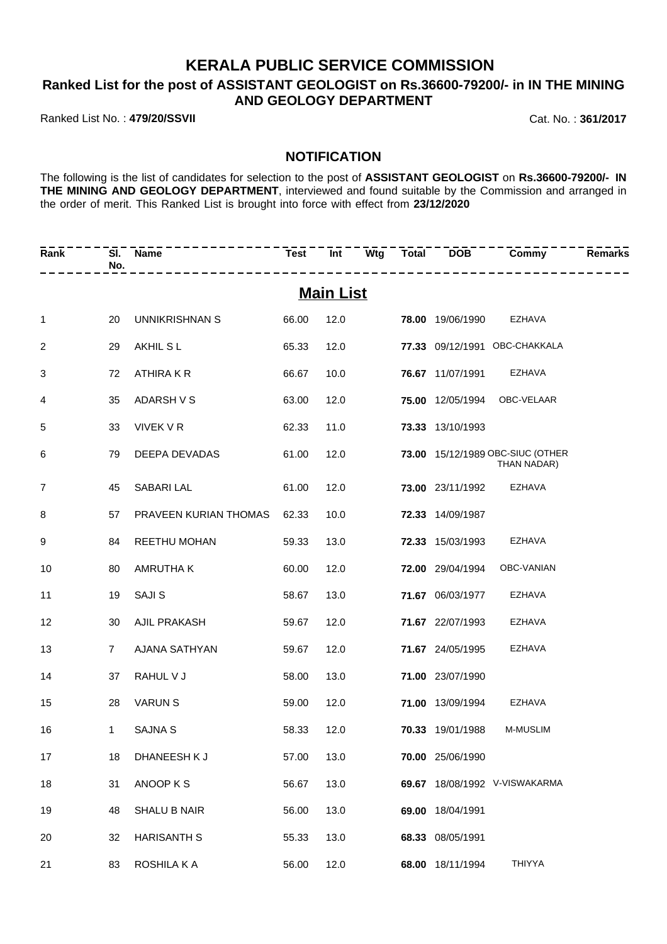### **KERALA PUBLIC SERVICE COMMISSION**

### **Ranked List for the post of ASSISTANT GEOLOGIST on Rs.36600-79200/- in IN THE MINING AND GEOLOGY DEPARTMENT**

Ranked List No. : **479/20/SSVII** Cat. No. : **361/2017**

#### **NOTIFICATION**

The following is the list of candidates for selection to the post of **ASSISTANT GEOLOGIST** on **Rs.36600-79200/- IN THE MINING AND GEOLOGY DEPARTMENT**, interviewed and found suitable by the Commission and arranged in the order of merit. This Ranked List is brought into force with effect from **23/12/2020**

| Rank         | SI.<br>No.     | <b>Name</b><br>--------- | <b>Test</b> | Int              | --------------          | Wtg Total DOB Commy                             | Remarks |
|--------------|----------------|--------------------------|-------------|------------------|-------------------------|-------------------------------------------------|---------|
|              |                |                          |             | <b>Main List</b> |                         |                                                 |         |
| $\mathbf{1}$ | 20             | UNNIKRISHNAN S           | 66.00       | 12.0             | <b>78.00 19/06/1990</b> | EZHAVA                                          |         |
| 2            | 29             | AKHIL S L                | 65.33       | 12.0             |                         | 77.33 09/12/1991 OBC-CHAKKALA                   |         |
| 3            | 72             | ATHIRA K R               | 66.67       | 10.0             | 76.67 11/07/1991        | EZHAVA                                          |         |
| 4            | 35             | ADARSH V S               | 63.00       | 12.0             | 75.00 12/05/1994        | OBC-VELAAR                                      |         |
| 5            | 33             | VIVEK V R                | 62.33       | 11.0             | 73.33 13/10/1993        |                                                 |         |
| 6            | 79             | DEEPA DEVADAS            | 61.00       | 12.0             |                         | 73.00 15/12/1989 OBC-SIUC (OTHER<br>THAN NADAR) |         |
| 7            | 45             | SABARI LAL               | 61.00       | 12.0             | 73.00 23/11/1992        | EZHAVA                                          |         |
| 8            | 57             | PRAVEEN KURIAN THOMAS    | 62.33       | 10.0             | 72.33 14/09/1987        |                                                 |         |
| 9            | 84             | REETHU MOHAN             | 59.33       | 13.0             | 72.33 15/03/1993        | EZHAVA                                          |         |
| 10           | 80             | <b>AMRUTHAK</b>          | 60.00       | 12.0             | 72.00 29/04/1994        | OBC-VANIAN                                      |         |
| 11           | 19             | <b>SAJIS</b>             | 58.67       | 13.0             | 71.67 06/03/1977        | EZHAVA                                          |         |
| 12           | 30             | AJIL PRAKASH             | 59.67       | 12.0             | 71.67 22/07/1993        | EZHAVA                                          |         |
| 13           | $\overline{7}$ | AJANA SATHYAN            | 59.67       | 12.0             | 71.67 24/05/1995        | EZHAVA                                          |         |
| 14           | 37             | RAHUL V J                | 58.00       | 13.0             | 71.00 23/07/1990        |                                                 |         |
| 15           | 28             | <b>VARUN S</b>           | 59.00       | 12.0             | 71.00 13/09/1994        | EZHAVA                                          |         |
| 16           | $\mathbf{1}$   | <b>SAJNA S</b>           | 58.33       | 12.0             | 70.33 19/01/1988        | <b>M-MUSLIM</b>                                 |         |
| 17           | 18             | DHANEESH K J             | 57.00       | 13.0             | 70.00 25/06/1990        |                                                 |         |
| 18           | 31             | ANOOP K S                | 56.67       | 13.0             |                         | 69.67 18/08/1992 V-VISWAKARMA                   |         |
| 19           | 48             | <b>SHALU B NAIR</b>      | 56.00       | 13.0             | 69.00 18/04/1991        |                                                 |         |
| 20           | 32             | <b>HARISANTH S</b>       | 55.33       | 13.0             | 68.33 08/05/1991        |                                                 |         |
| 21           | 83             | ROSHILA K A              | 56.00       | 12.0             | 68.00 18/11/1994        | THIYYA                                          |         |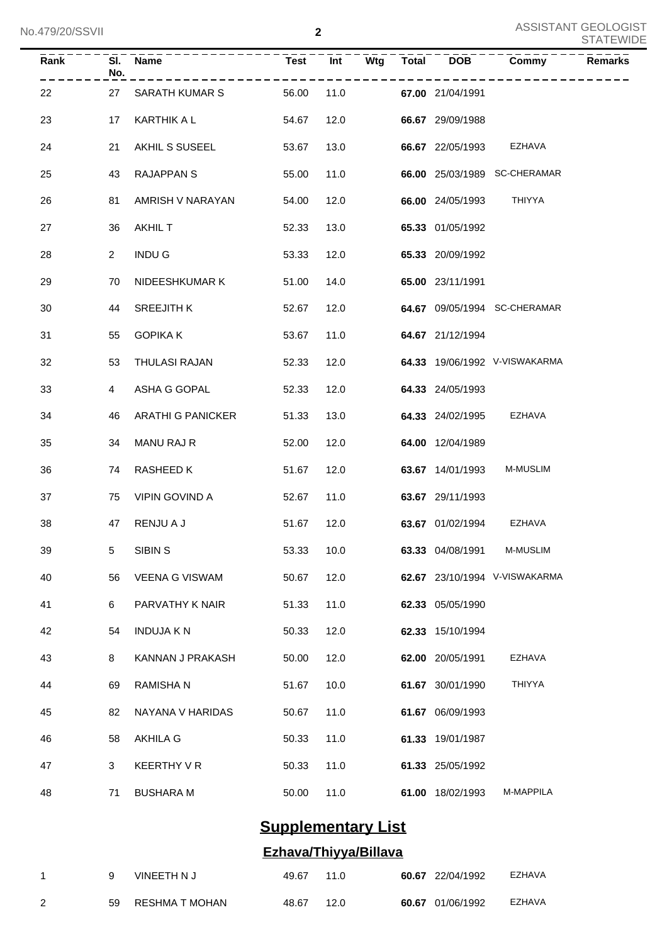| Rank | SI.<br>No.     | <b>Name</b>           | <b>Test</b> | Int  | Wtg | Total | <b>DOB</b>       | Commy                         | Remarks |
|------|----------------|-----------------------|-------------|------|-----|-------|------------------|-------------------------------|---------|
| 22   | 27             | SARATH KUMAR S        | 56.00       | 11.0 |     |       | 67.00 21/04/1991 |                               |         |
| 23   | 17             | KARTHIK A L           | 54.67       | 12.0 |     |       | 66.67 29/09/1988 |                               |         |
| 24   | 21             | AKHIL S SUSEEL        | 53.67       | 13.0 |     |       | 66.67 22/05/1993 | EZHAVA                        |         |
| 25   | 43             | <b>RAJAPPAN S</b>     | 55.00       | 11.0 |     |       |                  | 66.00 25/03/1989 SC-CHERAMAR  |         |
| 26   | 81             | AMRISH V NARAYAN      | 54.00       | 12.0 |     |       | 66.00 24/05/1993 | THIYYA                        |         |
| 27   | 36             | <b>AKHIL T</b>        | 52.33       | 13.0 |     |       | 65.33 01/05/1992 |                               |         |
| 28   | $\overline{2}$ | <b>INDUG</b>          | 53.33       | 12.0 |     |       | 65.33 20/09/1992 |                               |         |
| 29   | 70             | NIDEESHKUMAR K        | 51.00       | 14.0 |     |       | 65.00 23/11/1991 |                               |         |
| 30   | 44             | <b>SREEJITH K</b>     | 52.67       | 12.0 |     |       |                  | 64.67 09/05/1994 SC-CHERAMAR  |         |
| 31   | 55             | <b>GOPIKA K</b>       | 53.67       | 11.0 |     |       | 64.67 21/12/1994 |                               |         |
| 32   | 53             | THULASI RAJAN         | 52.33       | 12.0 |     |       |                  | 64.33 19/06/1992 V-VISWAKARMA |         |
| 33   | 4              | ASHA G GOPAL          | 52.33       | 12.0 |     |       | 64.33 24/05/1993 |                               |         |
| 34   | 46             | ARATHI G PANICKER     | 51.33       | 13.0 |     |       | 64.33 24/02/1995 | EZHAVA                        |         |
| 35   | 34             | MANU RAJ R            | 52.00       | 12.0 |     |       | 64.00 12/04/1989 |                               |         |
| 36   | 74             | RASHEED K             | 51.67       | 12.0 |     |       | 63.67 14/01/1993 | M-MUSLIM                      |         |
| 37   | 75             | VIPIN GOVIND A        | 52.67       | 11.0 |     |       | 63.67 29/11/1993 |                               |         |
| 38   | 47             | RENJU A J             | 51.67       | 12.0 |     |       | 63.67 01/02/1994 | EZHAVA                        |         |
| 39   | 5 <sub>5</sub> | SIBIN <sub>S</sub>    | 53.33 10.0  |      |     |       |                  | 63.33 04/08/1991 M-MUSLIM     |         |
| 40   | 56             | <b>VEENA G VISWAM</b> | 50.67       | 12.0 |     |       |                  | 62.67 23/10/1994 V-VISWAKARMA |         |
| 41   | 6              | PARVATHY K NAIR       | 51.33       | 11.0 |     |       | 62.33 05/05/1990 |                               |         |
| 42   | 54             | <b>INDUJA K N</b>     | 50.33       | 12.0 |     |       | 62.33 15/10/1994 |                               |         |
| 43   | 8              | KANNAN J PRAKASH      | 50.00       | 12.0 |     |       | 62.00 20/05/1991 | EZHAVA                        |         |
| 44   | 69             | RAMISHA N             | 51.67       | 10.0 |     |       | 61.67 30/01/1990 | THIYYA                        |         |
| 45   | 82             | NAYANA V HARIDAS      | 50.67       | 11.0 |     |       | 61.67 06/09/1993 |                               |         |
| 46   | 58             | AKHILA G              | 50.33       | 11.0 |     |       | 61.33 19/01/1987 |                               |         |
| 47   | 3              | KEERTHY V R           | 50.33       | 11.0 |     |       | 61.33 25/05/1992 |                               |         |
| 48   | 71             | <b>BUSHARA M</b>      | 50.00       | 11.0 |     |       | 61.00 18/02/1993 | M-MAPPILA                     |         |

# **Supplementary List**

### **Ezhava/Thiyya/Billava**

| q | VINEETH N J       | 49.67 11.0 |  | <b>60.67</b> 22/04/1992 | EZHAVA |
|---|-------------------|------------|--|-------------------------|--------|
|   | 59 RESHMA T MOHAN | 48.67 12.0 |  | 60.67 01/06/1992        | EZHAVA |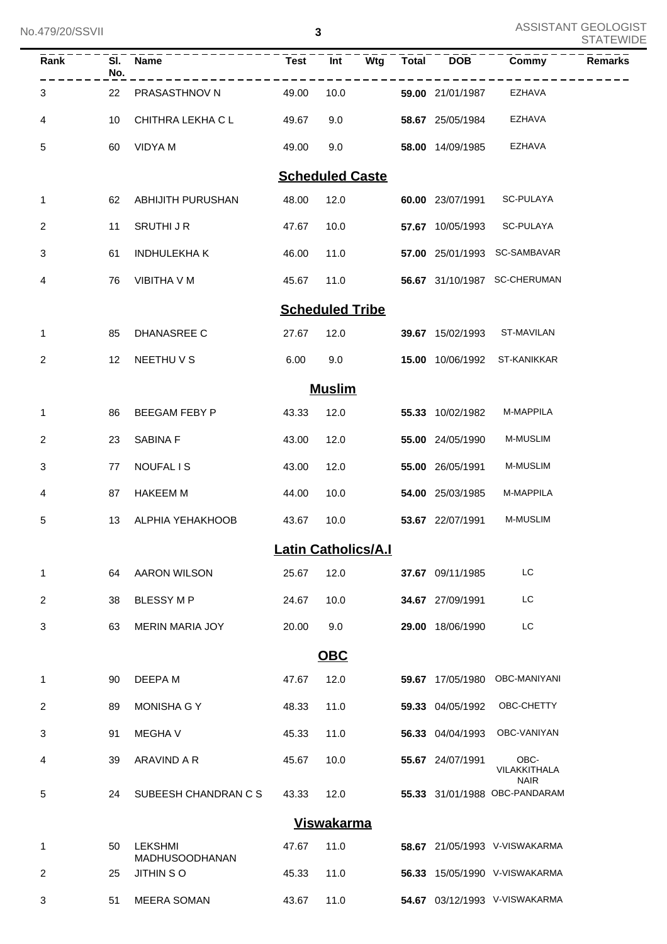| $\overline{Rank}$ | No. | SI. Name                                  | $Test$ $\overline{I}$ $\overline{I}$ |                            | Wtg Total | <b>DOB</b>       | Commy                                        | <b>Remarks</b> |
|-------------------|-----|-------------------------------------------|--------------------------------------|----------------------------|-----------|------------------|----------------------------------------------|----------------|
| 3                 | 22  | PRASASTHNOV N                             | 49.00                                | 10.0                       |           | 59.00 21/01/1987 | EZHAVA                                       |                |
| 4                 | 10  | CHITHRA LEKHA C L                         | 49.67                                | 9.0                        |           | 58.67 25/05/1984 | <b>EZHAVA</b>                                |                |
| 5                 | 60  | VIDYA M                                   | 49.00                                | 9.0                        |           | 58.00 14/09/1985 | <b>EZHAVA</b>                                |                |
|                   |     |                                           |                                      | <b>Scheduled Caste</b>     |           |                  |                                              |                |
| 1                 | 62  | ABHIJITH PURUSHAN                         | 48.00                                | 12.0                       |           | 60.00 23/07/1991 | SC-PULAYA                                    |                |
| 2                 | 11  | SRUTHI J R                                | 47.67                                | 10.0                       |           | 57.67 10/05/1993 | SC-PULAYA                                    |                |
| 3                 | 61  | <b>INDHULEKHA K</b>                       | 46.00                                | 11.0                       |           |                  | 57.00 25/01/1993 SC-SAMBAVAR                 |                |
| 4                 | 76  | VIBITHA V M                               | 45.67                                | 11.0                       |           |                  | 56.67 31/10/1987 SC-CHERUMAN                 |                |
|                   |     |                                           |                                      | <b>Scheduled Tribe</b>     |           |                  |                                              |                |
| $\mathbf{1}$      | 85  | DHANASREE C                               | 27.67                                | 12.0                       |           |                  | 39.67 15/02/1993 ST-MAVILAN                  |                |
| $\overline{2}$    | 12  | NEETHU V S                                | 6.00                                 | 9.0                        |           |                  | 15.00 10/06/1992 ST-KANIKKAR                 |                |
|                   |     |                                           |                                      | <b>Muslim</b>              |           |                  |                                              |                |
| 1                 | 86  | BEEGAM FEBY P                             | 43.33                                | 12.0                       |           | 55.33 10/02/1982 | M-MAPPILA                                    |                |
| $\overline{2}$    | 23  | SABINA F                                  | 43.00                                | 12.0                       |           | 55.00 24/05/1990 | M-MUSLIM                                     |                |
| 3                 | 77  | NOUFAL IS                                 | 43.00                                | 12.0                       |           | 55.00 26/05/1991 | M-MUSLIM                                     |                |
| 4                 | 87  | <b>HAKEEM M</b>                           | 44.00                                | 10.0                       |           | 54.00 25/03/1985 | M-MAPPILA                                    |                |
| 5                 | 13  | ALPHIA YEHAKHOOB                          | 43.67                                | 10.0                       |           | 53.67 22/07/1991 | M-MUSLIM                                     |                |
|                   |     |                                           |                                      | <b>Latin Catholics/A.I</b> |           |                  |                                              |                |
| 1                 | 64  | <b>AARON WILSON</b>                       | 25.67                                | 12.0                       |           | 37.67 09/11/1985 | LC                                           |                |
| 2                 | 38  | <b>BLESSY MP</b>                          | 24.67                                | 10.0                       |           | 34.67 27/09/1991 | LC                                           |                |
| 3                 | 63  | <b>MERIN MARIA JOY</b>                    | 20.00                                | 9.0                        |           | 29.00 18/06/1990 | LC                                           |                |
|                   |     |                                           |                                      | <b>OBC</b>                 |           |                  |                                              |                |
| 1                 | 90  | DEEPA M                                   | 47.67                                | 12.0                       |           | 59.67 17/05/1980 | OBC-MANIYANI                                 |                |
| 2                 | 89  | MONISHA G Y                               | 48.33                                | 11.0                       |           | 59.33 04/05/1992 | OBC-CHETTY                                   |                |
| 3                 | 91  | <b>MEGHAV</b>                             | 45.33                                | 11.0                       |           | 56.33 04/04/1993 | OBC-VANIYAN                                  |                |
| 4                 | 39  | ARAVIND A R                               | 45.67                                | 10.0                       |           | 55.67 24/07/1991 | OBC-<br>VILAKKITHALA                         |                |
| 5                 | 24  | SUBEESH CHANDRAN C S                      | 43.33                                | 12.0                       |           |                  | <b>NAIR</b><br>55.33 31/01/1988 OBC-PANDARAM |                |
|                   |     |                                           |                                      | <b>Viswakarma</b>          |           |                  |                                              |                |
| 1                 | 50  | <b>LEKSHMI</b>                            | 47.67                                | 11.0                       |           |                  | 58.67 21/05/1993 V-VISWAKARMA                |                |
| 2                 | 25  | <b>MADHUSOODHANAN</b><br><b>JITHIN SO</b> | 45.33                                | 11.0                       |           |                  | 56.33 15/05/1990 V-VISWAKARMA                |                |
| 3                 | 51  | <b>MEERA SOMAN</b>                        | 43.67                                | 11.0                       |           |                  | 54.67 03/12/1993 V-VISWAKARMA                |                |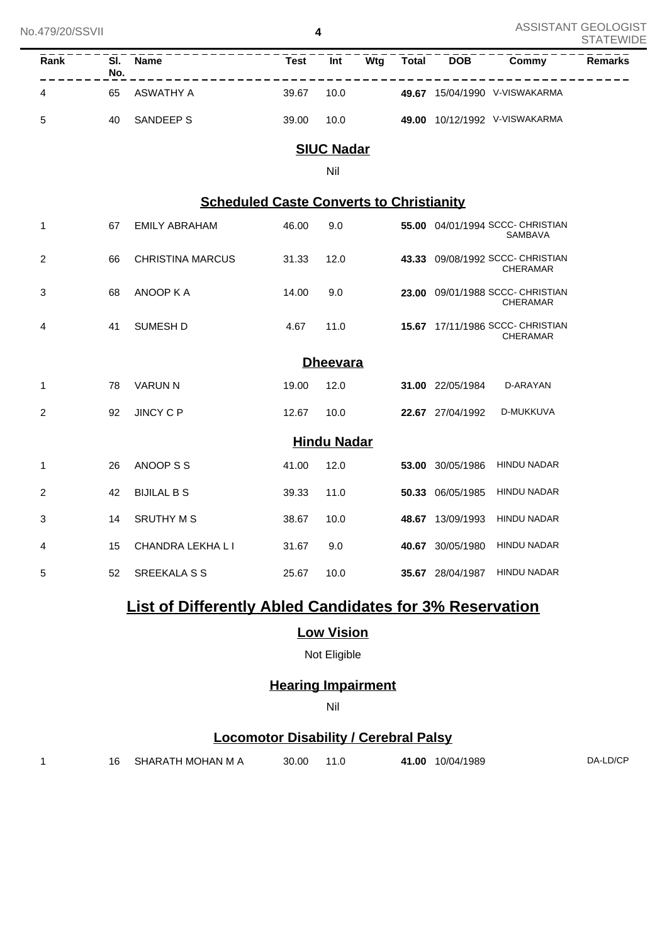**4**

| No.479/20/SSVII |                                   |                         |                                                 | 4                  |     |              |                  |                                                     | <u>AJJIJIANI UEULUUIJI</u><br><b>STATEWIDE</b> |
|-----------------|-----------------------------------|-------------------------|-------------------------------------------------|--------------------|-----|--------------|------------------|-----------------------------------------------------|------------------------------------------------|
| Rank            | $\overline{\mathsf{SI}}$ .<br>No. | <b>Name</b>             | <b>Test</b>                                     | $\overline{Int}$   | Wtg | <b>Total</b> | <b>DOB</b>       | Commy                                               | <b>Remarks</b>                                 |
| 4               | 65                                | <b>ASWATHY A</b>        | 39.67                                           | 10.0               |     |              |                  | 49.67 15/04/1990 V-VISWAKARMA                       |                                                |
| 5               | 40                                | SANDEEP S               | 39.00                                           | 10.0               |     |              |                  | 49.00 10/12/1992 V-VISWAKARMA                       |                                                |
|                 |                                   |                         |                                                 | <b>SIUC Nadar</b>  |     |              |                  |                                                     |                                                |
|                 |                                   |                         |                                                 | Nil                |     |              |                  |                                                     |                                                |
|                 |                                   |                         | <b>Scheduled Caste Converts to Christianity</b> |                    |     |              |                  |                                                     |                                                |
| 1               | 67                                | <b>EMILY ABRAHAM</b>    | 46.00                                           | 9.0                |     |              |                  | 55.00 04/01/1994 SCCC- CHRISTIAN<br>SAMBAVA         |                                                |
| 2               | 66                                | <b>CHRISTINA MARCUS</b> | 31.33                                           | 12.0               |     |              |                  | 43.33 09/08/1992 SCCC- CHRISTIAN<br><b>CHERAMAR</b> |                                                |
| 3               | 68                                | ANOOP K A               | 14.00                                           | 9.0                |     |              |                  | 23.00 09/01/1988 SCCC- CHRISTIAN<br><b>CHERAMAR</b> |                                                |
| 4               | 41                                | <b>SUMESH D</b>         | 4.67                                            | 11.0               |     |              |                  | 15.67 17/11/1986 SCCC- CHRISTIAN<br><b>CHERAMAR</b> |                                                |
|                 |                                   |                         |                                                 | <b>Dheevara</b>    |     |              |                  |                                                     |                                                |
| 1               | 78                                | <b>VARUN N</b>          | 19.00                                           | 12.0               |     |              | 31.00 22/05/1984 | D-ARAYAN                                            |                                                |
| $\overline{c}$  | 92                                | <b>JINCY C P</b>        | 12.67                                           | 10.0               |     |              | 22.67 27/04/1992 | D-MUKKUVA                                           |                                                |
|                 |                                   |                         |                                                 | <b>Hindu Nadar</b> |     |              |                  |                                                     |                                                |
| 1               | 26                                | ANOOP S S               | 41.00                                           | 12.0               |     |              | 53.00 30/05/1986 | <b>HINDU NADAR</b>                                  |                                                |
| 2               | 42                                | <b>BIJILAL B S</b>      | 39.33                                           | 11.0               |     |              | 50.33 06/05/1985 | <b>HINDU NADAR</b>                                  |                                                |
| 3               | 14                                | <b>SRUTHY M S</b>       | 38.67                                           | 10.0               |     |              | 48.67 13/09/1993 | <b>HINDU NADAR</b>                                  |                                                |
| 4               | 15                                | CHANDRA LEKHA LI        | 31.67                                           | 9.0                |     |              | 40.67 30/05/1980 | <b>HINDU NADAR</b>                                  |                                                |
| 5               | 52                                | <b>SREEKALA S S</b>     | 25.67                                           | 10.0               |     |              | 35.67 28/04/1987 | <b>HINDU NADAR</b>                                  |                                                |

# **List of Differently Abled Candidates for 3% Reservation**

### **Low Vision**

Not Eligible

## **Hearing Impairment**

Nil

### **Locomotor Disability / Cerebral Palsy**

|  | 16 SHARATH MOHAN M A | 30.00 | 11.0 | 10/04/1989<br>41.00 | DA-LD/CP |
|--|----------------------|-------|------|---------------------|----------|
|  |                      |       |      |                     |          |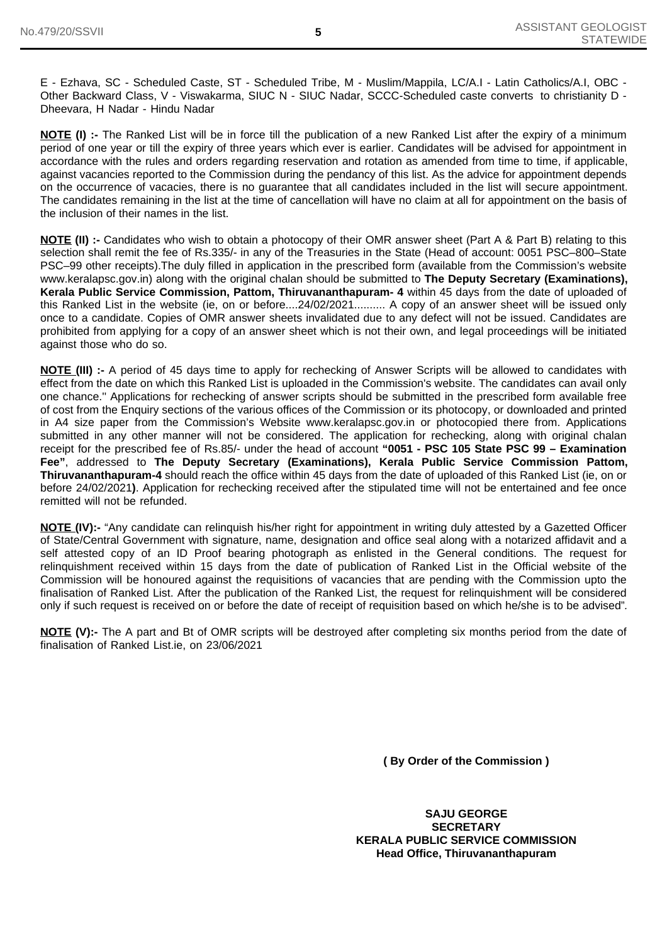E - Ezhava, SC - Scheduled Caste, ST - Scheduled Tribe, M - Muslim/Mappila, LC/A.I - Latin Catholics/A.I, OBC - Other Backward Class, V - Viswakarma, SIUC N - SIUC Nadar, SCCC-Scheduled caste converts to christianity D - Dheevara, H Nadar - Hindu Nadar

**NOTE (I)** :- The Ranked List will be in force till the publication of a new Ranked List after the expiry of a minimum period of one year or till the expiry of three years which ever is earlier. Candidates will be advised for appointment in accordance with the rules and orders regarding reservation and rotation as amended from time to time, if applicable, against vacancies reported to the Commission during the pendancy of this list. As the advice for appointment depends on the occurrence of vacacies, there is no guarantee that all candidates included in the list will secure appointment. The candidates remaining in the list at the time of cancellation will have no claim at all for appointment on the basis of the inclusion of their names in the list.

**NOTE (II) :-** Candidates who wish to obtain a photocopy of their OMR answer sheet (Part A & Part B) relating to this selection shall remit the fee of Rs.335/- in any of the Treasuries in the State (Head of account: 0051 PSC–800–State PSC–99 other receipts).The duly filled in application in the prescribed form (available from the Commission's website www.keralapsc.gov.in) along with the original chalan should be submitted to **The Deputy Secretary (Examinations), Kerala Public Service Commission, Pattom, Thiruvananthapuram- 4** within 45 days from the date of uploaded of this Ranked List in the website (ie, on or before....24/02/2021.......... A copy of an answer sheet will be issued only once to a candidate. Copies of OMR answer sheets invalidated due to any defect will not be issued. Candidates are prohibited from applying for a copy of an answer sheet which is not their own, and legal proceedings will be initiated against those who do so.

**NOTE (III) :-** A period of 45 days time to apply for rechecking of Answer Scripts will be allowed to candidates with effect from the date on which this Ranked List is uploaded in the Commission's website. The candidates can avail only one chance.'' Applications for rechecking of answer scripts should be submitted in the prescribed form available free of cost from the Enquiry sections of the various offices of the Commission or its photocopy, or downloaded and printed in A4 size paper from the Commission's Website www.keralapsc.gov.in or photocopied there from. Applications submitted in any other manner will not be considered. The application for rechecking, along with original chalan receipt for the prescribed fee of Rs.85/- under the head of account **"0051 - PSC 105 State PSC 99 – Examination Fee"**, addressed to **The Deputy Secretary (Examinations), Kerala Public Service Commission Pattom, Thiruvananthapuram-4** should reach the office within 45 days from the date of uploaded of this Ranked List (ie, on or before 24/02/2021**)**. Application for rechecking received after the stipulated time will not be entertained and fee once remitted will not be refunded.

**NOTE (IV):-** "Any candidate can relinquish his/her right for appointment in writing duly attested by a Gazetted Officer of State/Central Government with signature, name, designation and office seal along with a notarized affidavit and a self attested copy of an ID Proof bearing photograph as enlisted in the General conditions. The request for relinquishment received within 15 days from the date of publication of Ranked List in the Official website of the Commission will be honoured against the requisitions of vacancies that are pending with the Commission upto the finalisation of Ranked List. After the publication of the Ranked List, the request for relinquishment will be considered only if such request is received on or before the date of receipt of requisition based on which he/she is to be advised".

**NOTE (V):-** The A part and Bt of OMR scripts will be destroyed after completing six months period from the date of finalisation of Ranked List.ie, on 23/06/2021

**( By Order of the Commission )**

**SAJU GEORGE SECRETARY KERALA PUBLIC SERVICE COMMISSION Head Office, Thiruvananthapuram**